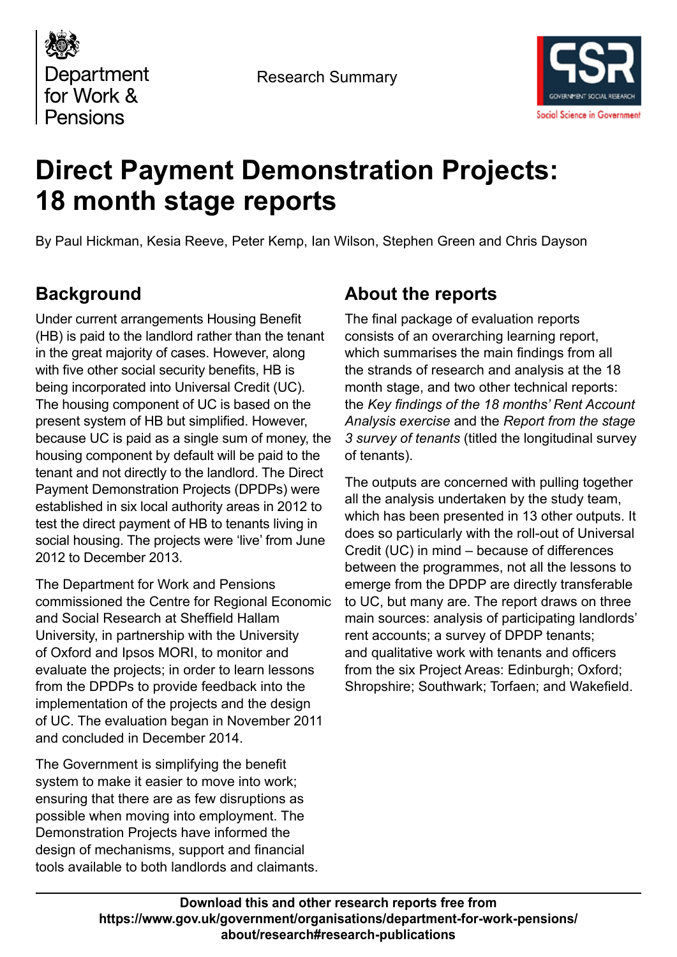

Research Summary



# **Direct Payment Demonstration Projects: 18 month stage reports**

By Paul Hickman, Kesia Reeve, Peter Kemp, Ian Wilson, Stephen Green and Chris Dayson

# **Background**

Under current arrangements Housing Benefit (HB) is paid to the landlord rather than the tenant in the great majority of cases. However, along with five other social security benefits, HB is being incorporated into Universal Credit (UC). The housing component of UC is based on the present system of HB but simplified. However, because UC is paid as a single sum of money, the housing component by default will be paid to the tenant and not directly to the landlord. The Direct Payment Demonstration Projects (DPDPs) were established in six local authority areas in 2012 to test the direct payment of HB to tenants living in social housing. The projects were 'live' from June 2012 to December 2013.

The Department for Work and Pensions commissioned the Centre for Regional Economic and Social Research at Sheffield Hallam University, in partnership with the University of Oxford and Ipsos MORI, to monitor and evaluate the projects; in order to learn lessons from the DPDPs to provide feedback into the implementation of the projects and the design of UC. The evaluation began in November 2011 and concluded in December 2014.

The Government is simplifying the benefit system to make it easier to move into work; ensuring that there are as few disruptions as possible when moving into employment. The Demonstration Projects have informed the design of mechanisms, support and financial tools available to both landlords and claimants.

# **About the reports**

The final package of evaluation reports consists of an overarching learning report, which summarises the main findings from all the strands of research and analysis at the 18 month stage, and two other technical reports: the *Key findings of the 18 months' Rent Account Analysis exercise* and the *Report from the stage 3 survey of tenants* (titled the longitudinal survey of tenants).

The outputs are concerned with pulling together all the analysis undertaken by the study team, which has been presented in 13 other outputs. It does so particularly with the roll-out of Universal Credit (UC) in mind – because of differences between the programmes, not all the lessons to emerge from the DPDP are directly transferable to UC, but many are. The report draws on three main sources: analysis of participating landlords' rent accounts; a survey of DPDP tenants; and qualitative work with tenants and officers from the six Project Areas: Edinburgh; Oxford; Shropshire; Southwark; Torfaen; and Wakefield.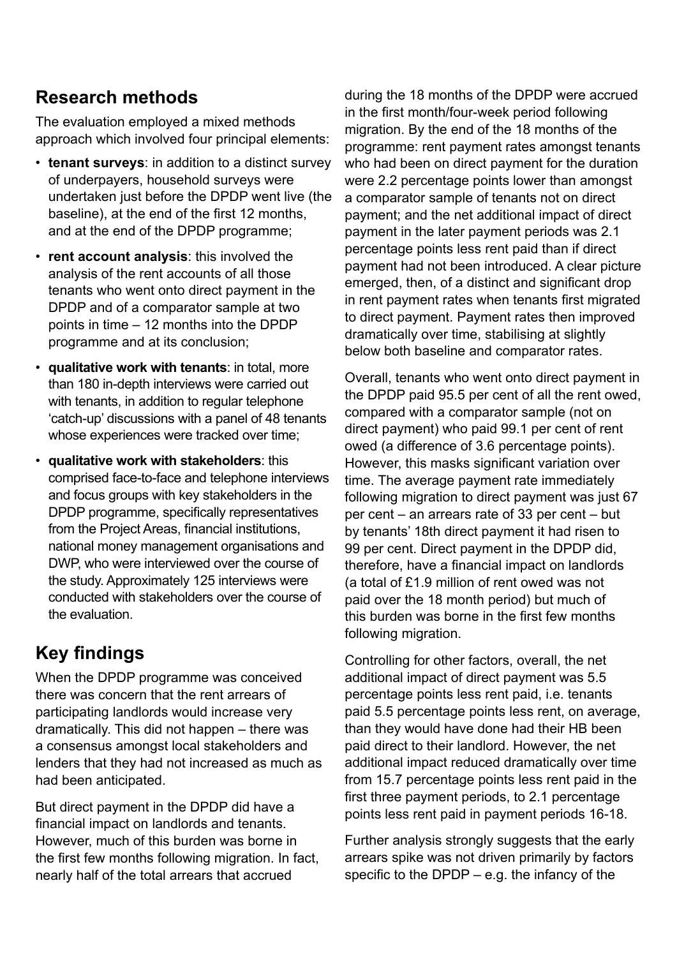### **Research methods**

The evaluation employed a mixed methods approach which involved four principal elements:

- **tenant surveys**: in addition to a distinct survey of underpayers, household surveys were undertaken just before the DPDP went live (the baseline), at the end of the first 12 months, and at the end of the DPDP programme;
- **rent account analysis**: this involved the analysis of the rent accounts of all those tenants who went onto direct payment in the DPDP and of a comparator sample at two points in time – 12 months into the DPDP programme and at its conclusion;
- **qualitative work with tenants**: in total, more than 180 in-depth interviews were carried out with tenants, in addition to regular telephone 'catch-up' discussions with a panel of 48 tenants whose experiences were tracked over time;
- **qualitative work with stakeholders**: this comprised face-to-face and telephone interviews and focus groups with key stakeholders in the DPDP programme, specifically representatives from the Project Areas, financial institutions, national money management organisations and DWP, who were interviewed over the course of the study. Approximately 125 interviews were conducted with stakeholders over the course of the evaluation.

# **Key findings**

When the DPDP programme was conceived there was concern that the rent arrears of participating landlords would increase very dramatically. This did not happen – there was a consensus amongst local stakeholders and lenders that they had not increased as much as had been anticipated.

But direct payment in the DPDP did have a financial impact on landlords and tenants. However, much of this burden was borne in the first few months following migration. In fact, nearly half of the total arrears that accrued

during the 18 months of the DPDP were accrued in the first month/four-week period following migration. By the end of the 18 months of the programme: rent payment rates amongst tenants who had been on direct payment for the duration were 2.2 percentage points lower than amongst a comparator sample of tenants not on direct payment; and the net additional impact of direct payment in the later payment periods was 2.1 percentage points less rent paid than if direct payment had not been introduced. A clear picture emerged, then, of a distinct and significant drop in rent payment rates when tenants first migrated to direct payment. Payment rates then improved dramatically over time, stabilising at slightly below both baseline and comparator rates.

Overall, tenants who went onto direct payment in the DPDP paid 95.5 per cent of all the rent owed, compared with a comparator sample (not on direct payment) who paid 99.1 per cent of rent owed (a difference of 3.6 percentage points). However, this masks significant variation over time. The average payment rate immediately following migration to direct payment was just 67 per cent – an arrears rate of 33 per cent – but by tenants' 18th direct payment it had risen to 99 per cent. Direct payment in the DPDP did, therefore, have a financial impact on landlords (a total of £1.9 million of rent owed was not paid over the 18 month period) but much of this burden was borne in the first few months following migration.

Controlling for other factors, overall, the net additional impact of direct payment was 5.5 percentage points less rent paid, i.e. tenants paid 5.5 percentage points less rent, on average, than they would have done had their HB been paid direct to their landlord. However, the net additional impact reduced dramatically over time from 15.7 percentage points less rent paid in the first three payment periods, to 2.1 percentage points less rent paid in payment periods 16-18.

Further analysis strongly suggests that the early arrears spike was not driven primarily by factors specific to the DPDP  $-$  e.g. the infancy of the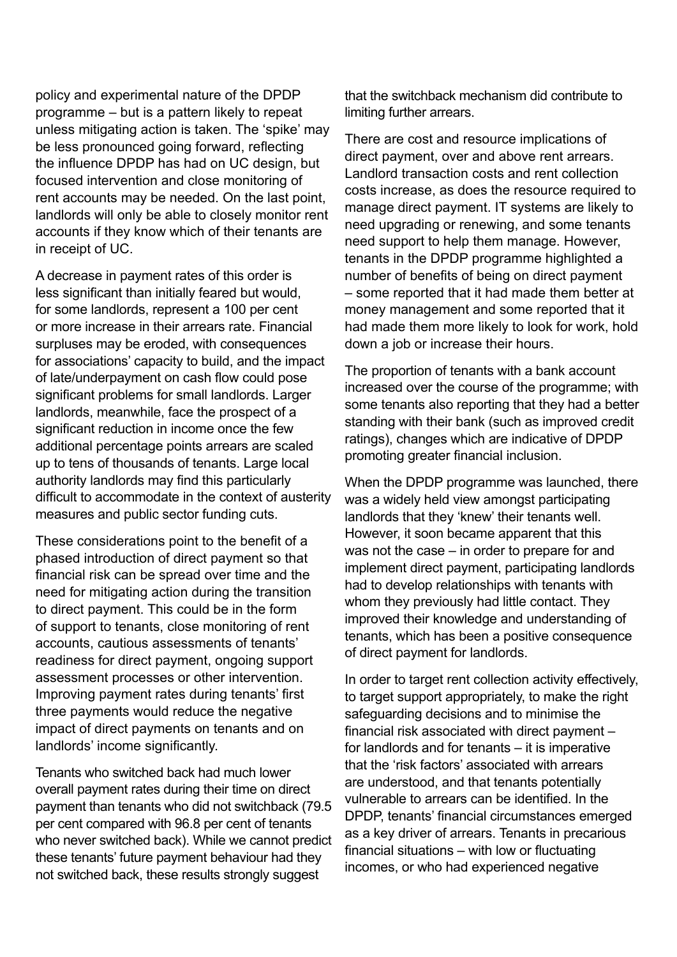policy and experimental nature of the DPDP programme – but is a pattern likely to repeat unless mitigating action is taken. The 'spike' may be less pronounced going forward, reflecting the influence DPDP has had on UC design, but focused intervention and close monitoring of rent accounts may be needed. On the last point, landlords will only be able to closely monitor rent accounts if they know which of their tenants are in receipt of UC.

A decrease in payment rates of this order is less significant than initially feared but would, for some landlords, represent a 100 per cent or more increase in their arrears rate. Financial surpluses may be eroded, with consequences for associations' capacity to build, and the impact of late/underpayment on cash flow could pose significant problems for small landlords. Larger landlords, meanwhile, face the prospect of a significant reduction in income once the few additional percentage points arrears are scaled up to tens of thousands of tenants. Large local authority landlords may find this particularly difficult to accommodate in the context of austerity measures and public sector funding cuts.

These considerations point to the benefit of a phased introduction of direct payment so that financial risk can be spread over time and the need for mitigating action during the transition to direct payment. This could be in the form of support to tenants, close monitoring of rent accounts, cautious assessments of tenants' readiness for direct payment, ongoing support assessment processes or other intervention. Improving payment rates during tenants' first three payments would reduce the negative impact of direct payments on tenants and on landlords' income significantly.

Tenants who switched back had much lower overall payment rates during their time on direct payment than tenants who did not switchback (79.5 per cent compared with 96.8 per cent of tenants who never switched back). While we cannot predict these tenants' future payment behaviour had they not switched back, these results strongly suggest

that the switchback mechanism did contribute to limiting further arrears.

There are cost and resource implications of direct payment, over and above rent arrears. Landlord transaction costs and rent collection costs increase, as does the resource required to manage direct payment. IT systems are likely to need upgrading or renewing, and some tenants need support to help them manage. However, tenants in the DPDP programme highlighted a number of benefits of being on direct payment – some reported that it had made them better at money management and some reported that it had made them more likely to look for work, hold down a job or increase their hours.

The proportion of tenants with a bank account increased over the course of the programme; with some tenants also reporting that they had a better standing with their bank (such as improved credit ratings), changes which are indicative of DPDP promoting greater financial inclusion.

When the DPDP programme was launched, there was a widely held view amongst participating landlords that they 'knew' their tenants well. However, it soon became apparent that this was not the case – in order to prepare for and implement direct payment, participating landlords had to develop relationships with tenants with whom they previously had little contact. They improved their knowledge and understanding of tenants, which has been a positive consequence of direct payment for landlords.

In order to target rent collection activity effectively, to target support appropriately, to make the right safeguarding decisions and to minimise the financial risk associated with direct payment – for landlords and for tenants – it is imperative that the 'risk factors' associated with arrears are understood, and that tenants potentially vulnerable to arrears can be identified. In the DPDP, tenants' financial circumstances emerged as a key driver of arrears. Tenants in precarious financial situations – with low or fluctuating incomes, or who had experienced negative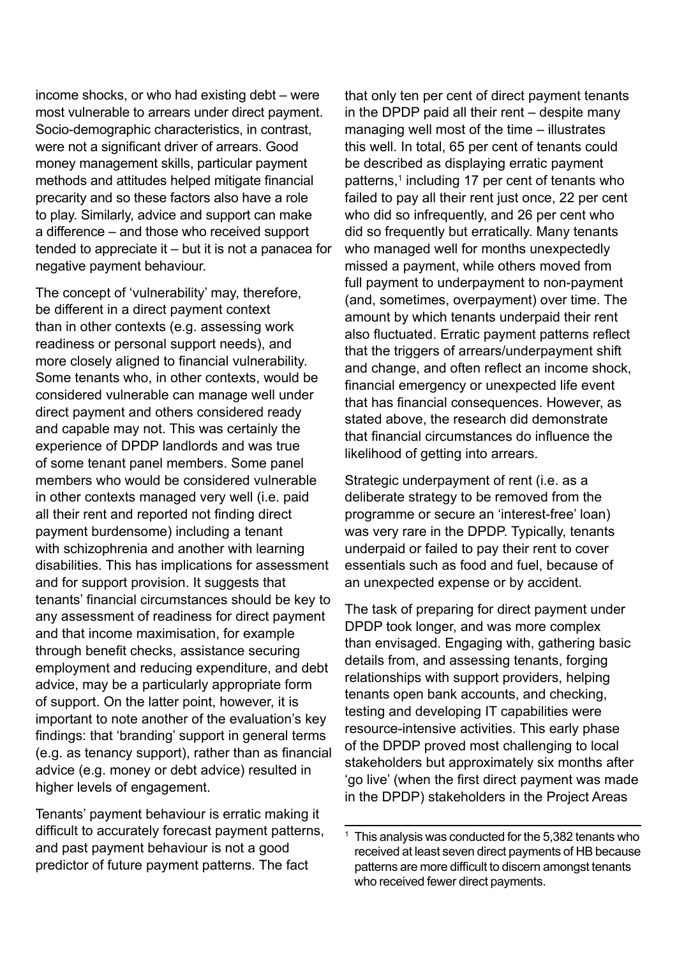income shocks, or who had existing debt – were most vulnerable to arrears under direct payment. Socio-demographic characteristics, in contrast, were not a significant driver of arrears. Good money management skills, particular payment methods and attitudes helped mitigate financial precarity and so these factors also have a role to play. Similarly, advice and support can make a difference – and those who received support tended to appreciate it – but it is not a panacea for negative payment behaviour.

The concept of 'vulnerability' may, therefore, be different in a direct payment context than in other contexts (e.g. assessing work readiness or personal support needs), and more closely aligned to financial vulnerability. Some tenants who, in other contexts, would be considered vulnerable can manage well under direct payment and others considered ready and capable may not. This was certainly the experience of DPDP landlords and was true of some tenant panel members. Some panel members who would be considered vulnerable in other contexts managed very well (i.e. paid all their rent and reported not finding direct payment burdensome) including a tenant with schizophrenia and another with learning disabilities. This has implications for assessment and for support provision. It suggests that tenants' financial circumstances should be key to any assessment of readiness for direct payment and that income maximisation, for example through benefit checks, assistance securing employment and reducing expenditure, and debt advice, may be a particularly appropriate form of support. On the latter point, however, it is important to note another of the evaluation's key findings: that 'branding' support in general terms (e.g. as tenancy support), rather than as financial advice (e.g. money or debt advice) resulted in higher levels of engagement.

Tenants' payment behaviour is erratic making it difficult to accurately forecast payment patterns, and past payment behaviour is not a good predictor of future payment patterns. The fact

that only ten per cent of direct payment tenants in the DPDP paid all their rent – despite many managing well most of the time – illustrates this well. In total, 65 per cent of tenants could be described as displaying erratic payment patterns,<sup>1</sup> including 17 per cent of tenants who failed to pay all their rent just once, 22 per cent who did so infrequently, and 26 per cent who did so frequently but erratically. Many tenants who managed well for months unexpectedly missed a payment, while others moved from full payment to underpayment to non-payment (and, sometimes, overpayment) over time. The amount by which tenants underpaid their rent also fluctuated. Erratic payment patterns reflect that the triggers of arrears/underpayment shift and change, and often reflect an income shock, financial emergency or unexpected life event that has financial consequences. However, as stated above, the research did demonstrate that financial circumstances do influence the likelihood of getting into arrears.

Strategic underpayment of rent (i.e. as a deliberate strategy to be removed from the programme or secure an 'interest-free' loan) was very rare in the DPDP. Typically, tenants underpaid or failed to pay their rent to cover essentials such as food and fuel, because of an unexpected expense or by accident.

The task of preparing for direct payment under DPDP took longer, and was more complex than envisaged. Engaging with, gathering basic details from, and assessing tenants, forging relationships with support providers, helping tenants open bank accounts, and checking, testing and developing IT capabilities were resource-intensive activities. This early phase of the DPDP proved most challenging to local stakeholders but approximately six months after 'go live' (when the first direct payment was made in the DPDP) stakeholders in the Project Areas

<sup>&</sup>lt;sup>1</sup> This analysis was conducted for the 5,382 tenants who received at least seven direct payments of HB because patterns are more difficult to discern amongst tenants who received fewer direct payments.